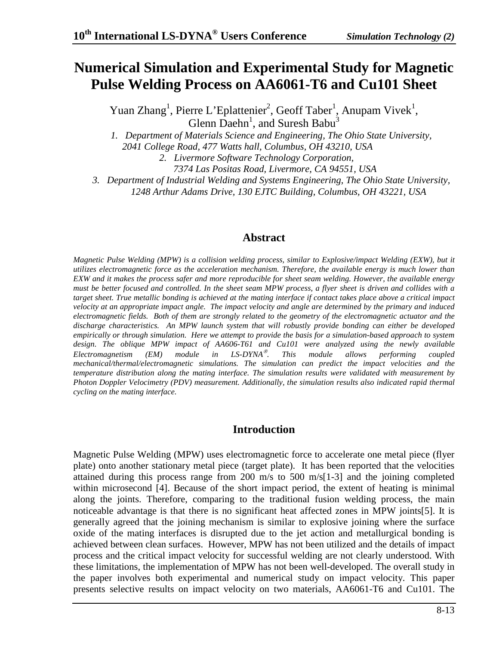# **Numerical Simulation and Experimental Study for Magnetic Pulse Welding Process on AA6061-T6 and Cu101 Sheet**

Yuan Zhang<sup>1</sup>, Pierre L'Eplattenier<sup>2</sup>, Geoff Taber<sup>1</sup>, Anupam Vivek<sup>1</sup>, Glenn Daehn<sup>1</sup>, and Suresh Babu<sup>3</sup>

*1. Department of Materials Science and Engineering, The Ohio State University,* 

 *2041 College Road, 477 Watts hall, Columbus, OH 43210, USA* 

*2. Livermore Software Technology Corporation,* 

 *7374 Las Positas Road, Livermore, CA 94551, USA* 

*3. Department of Industrial Welding and Systems Engineering, The Ohio State University,* 

*1248 Arthur Adams Drive, 130 EJTC Building, Columbus, OH 43221, USA* 

#### **Abstract**

*Magnetic Pulse Welding (MPW) is a collision welding process, similar to Explosive/impact Welding (EXW), but it utilizes electromagnetic force as the acceleration mechanism. Therefore, the available energy is much lower than EXW and it makes the process safer and more reproducible for sheet seam welding. However, the available energy must be better focused and controlled. In the sheet seam MPW process, a flyer sheet is driven and collides with a target sheet. True metallic bonding is achieved at the mating interface if contact takes place above a critical impact velocity at an appropriate impact angle. The impact velocity and angle are determined by the primary and induced electromagnetic fields. Both of them are strongly related to the geometry of the electromagnetic actuator and the discharge characteristics. An MPW launch system that will robustly provide bonding can either be developed empirically or through simulation. Here we attempt to provide the basis for a simulation-based approach to system*  design. The oblique MPW impact of AA606-T61 and Cu101 were analyzed using the newly available *Electromagnetism (EM) module in LS-DYNA*® *. This module allows performing coupled mechanical/thermal/electromagnetic simulations. The simulation can predict the impact velocities and the temperature distribution along the mating interface. The simulation results were validated with measurement by Photon Doppler Velocimetry (PDV) measurement. Additionally, the simulation results also indicated rapid thermal cycling on the mating interface.* 

## **Introduction**

Magnetic Pulse Welding (MPW) uses electromagnetic force to accelerate one metal piece (flyer plate) onto another stationary metal piece (target plate). It has been reported that the velocities attained during this process range from 200 m/s to 500 m/s[1-3] and the joining completed within microsecond [4]. Because of the short impact period, the extent of heating is minimal along the joints. Therefore, comparing to the traditional fusion welding process, the main noticeable advantage is that there is no significant heat affected zones in MPW joints[5]. It is generally agreed that the joining mechanism is similar to explosive joining where the surface oxide of the mating interfaces is disrupted due to the jet action and metallurgical bonding is achieved between clean surfaces. However, MPW has not been utilized and the details of impact process and the critical impact velocity for successful welding are not clearly understood. With these limitations, the implementation of MPW has not been well-developed. The overall study in the paper involves both experimental and numerical study on impact velocity. This paper presents selective results on impact velocity on two materials, AA6061-T6 and Cu101. The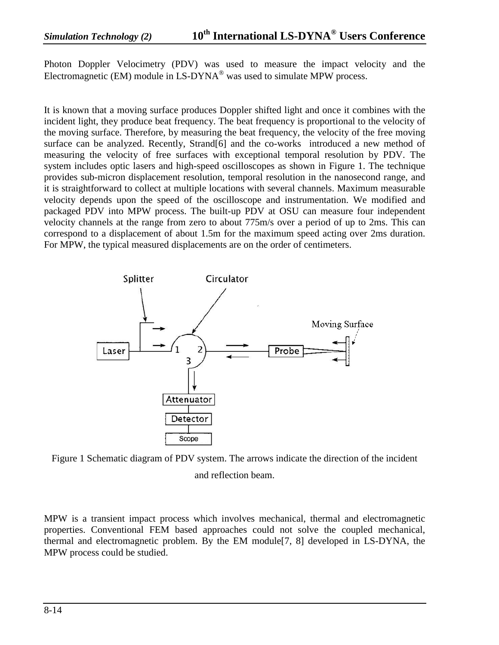Photon Doppler Velocimetry (PDV) was used to measure the impact velocity and the Electromagnetic (EM) module in LS-DYNA® was used to simulate MPW process.

It is known that a moving surface produces Doppler shifted light and once it combines with the incident light, they produce beat frequency. The beat frequency is proportional to the velocity of the moving surface. Therefore, by measuring the beat frequency, the velocity of the free moving surface can be analyzed. Recently, Strand[6] and the co-works introduced a new method of measuring the velocity of free surfaces with exceptional temporal resolution by PDV. The system includes optic lasers and high-speed oscilloscopes as shown in Figure 1. The technique provides sub-micron displacement resolution, temporal resolution in the nanosecond range, and it is straightforward to collect at multiple locations with several channels. Maximum measurable velocity depends upon the speed of the oscilloscope and instrumentation. We modified and packaged PDV into MPW process. The built-up PDV at OSU can measure four independent velocity channels at the range from zero to about 775m/s over a period of up to 2ms. This can correspond to a displacement of about 1.5m for the maximum speed acting over 2ms duration. For MPW, the typical measured displacements are on the order of centimeters.



Figure 1 Schematic diagram of PDV system. The arrows indicate the direction of the incident and reflection beam.

MPW is a transient impact process which involves mechanical, thermal and electromagnetic properties. Conventional FEM based approaches could not solve the coupled mechanical, thermal and electromagnetic problem. By the EM module[7, 8] developed in LS-DYNA, the MPW process could be studied.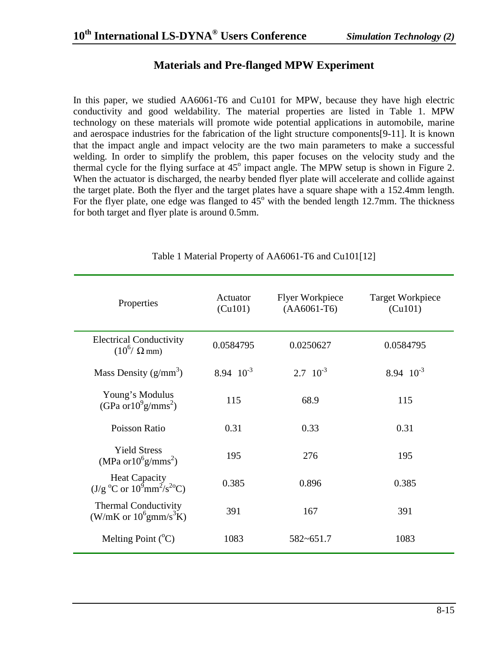# **Materials and Pre-flanged MPW Experiment**

In this paper, we studied AA6061-T6 and Cu101 for MPW, because they have high electric conductivity and good weldability. The material properties are listed in Table 1. MPW technology on these materials will promote wide potential applications in automobile, marine and aerospace industries for the fabrication of the light structure components[9-11]. It is known that the impact angle and impact velocity are the two main parameters to make a successful welding. In order to simplify the problem, this paper focuses on the velocity study and the thermal cycle for the flying surface at  $45^{\circ}$  impact angle. The MPW setup is shown in Figure 2. When the actuator is discharged, the nearby bended flyer plate will accelerate and collide against the target plate. Both the flyer and the target plates have a square shape with a 152.4mm length. For the flyer plate, one edge was flanged to  $45^{\circ}$  with the bended length 12.7mm. The thickness for both target and flyer plate is around 0.5mm.

| Properties                                                                     | Actuator<br>(Cu101) | <b>Flyer Workpiece</b><br>$(AA6061-T6)$ | <b>Target Workpiece</b><br>(Cu101) |
|--------------------------------------------------------------------------------|---------------------|-----------------------------------------|------------------------------------|
| <b>Electrical Conductivity</b><br>$(10^6/\Omega)$ mm)                          | 0.0584795           | 0.0250627                               | 0.0584795                          |
| Mass Density $(g/mm^3)$                                                        | 8.94 $10^{-3}$      | $2.7 \cdot 10^{-3}$                     | 8.94 $10^{-3}$                     |
| Young's Modulus<br>(GPa or $10^9$ g/mms <sup>2</sup> )                         | 115                 | 68.9                                    | 115                                |
| Poisson Ratio                                                                  | 0.31                | 0.33                                    | 0.31                               |
| <b>Yield Stress</b><br>(MPa or $10^6$ g/mms <sup>2</sup> )                     | 195                 | 276                                     | 195                                |
| <b>Heat Capacity</b><br>$(J/g^oC \text{ or } 10^9 \text{mm}^2/\text{s}^{2o}C)$ | 0.385               | 0.896                                   | 0.385                              |
| <b>Thermal Conductivity</b><br>(W/mK or $10^6$ gmm/s <sup>3</sup> K)           | 391                 | 167                                     | 391                                |
| Melting Point $({}^{\circ}C)$                                                  | 1083                | $582 - 651.7$                           | 1083                               |

Table 1 Material Property of AA6061-T6 and Cu101[12]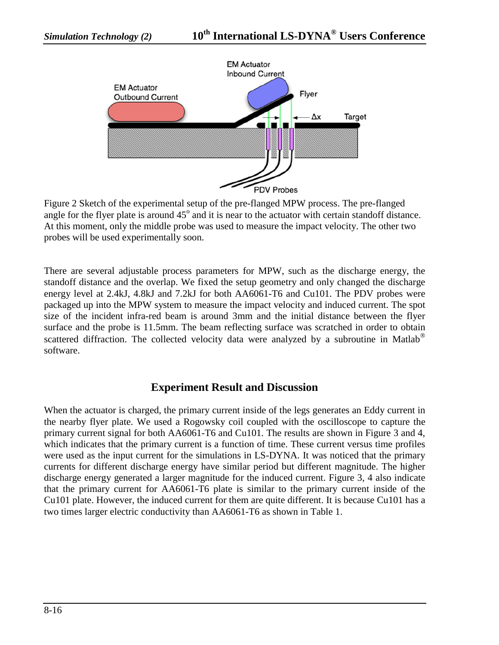

Figure 2 Sketch of the experimental setup of the pre-flanged MPW process. The pre-flanged angle for the flyer plate is around  $45^{\circ}$  and it is near to the actuator with certain standoff distance. At this moment, only the middle probe was used to measure the impact velocity. The other two probes will be used experimentally soon.

There are several adjustable process parameters for MPW, such as the discharge energy, the standoff distance and the overlap. We fixed the setup geometry and only changed the discharge energy level at 2.4kJ, 4.8kJ and 7.2kJ for both AA6061-T6 and Cu101. The PDV probes were packaged up into the MPW system to measure the impact velocity and induced current. The spot size of the incident infra-red beam is around 3mm and the initial distance between the flyer surface and the probe is 11.5mm. The beam reflecting surface was scratched in order to obtain scattered diffraction. The collected velocity data were analyzed by a subroutine in Matlab<sup>®</sup> software.

#### **Experiment Result and Discussion**

When the actuator is charged, the primary current inside of the legs generates an Eddy current in the nearby flyer plate. We used a Rogowsky coil coupled with the oscilloscope to capture the primary current signal for both AA6061-T6 and Cu101. The results are shown in Figure 3 and 4, which indicates that the primary current is a function of time. These current versus time profiles were used as the input current for the simulations in LS-DYNA. It was noticed that the primary currents for different discharge energy have similar period but different magnitude. The higher discharge energy generated a larger magnitude for the induced current. Figure 3, 4 also indicate that the primary current for AA6061-T6 plate is similar to the primary current inside of the Cu101 plate. However, the induced current for them are quite different. It is because Cu101 has a two times larger electric conductivity than AA6061-T6 as shown in Table 1.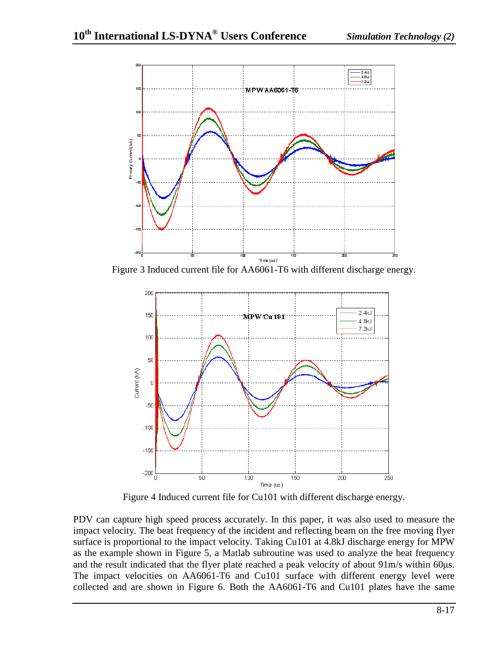

Figure 3 Induced current file for AA6061-T6 with different discharge energy.



Figure 4 Induced current file for Cu101 with different discharge energy.

PDV can capture high speed process accurately. In this paper, it was also used to measure the impact velocity. The beat frequency of the incident and reflecting beam on the free moving flyer surface is proportional to the impact velocity. Taking Cu101 at 4.8kJ discharge energy for MPW as the example shown in Figure 5, a Matlab subroutine was used to analyze the beat frequency and the result indicated that the flyer plate reached a peak velocity of about 91m/s within 60μs. The impact velocities on AA6061-T6 and Cu101 surface with different energy level were collected and are shown in Figure 6. Both the AA6061-T6 and Cu101 plates have the same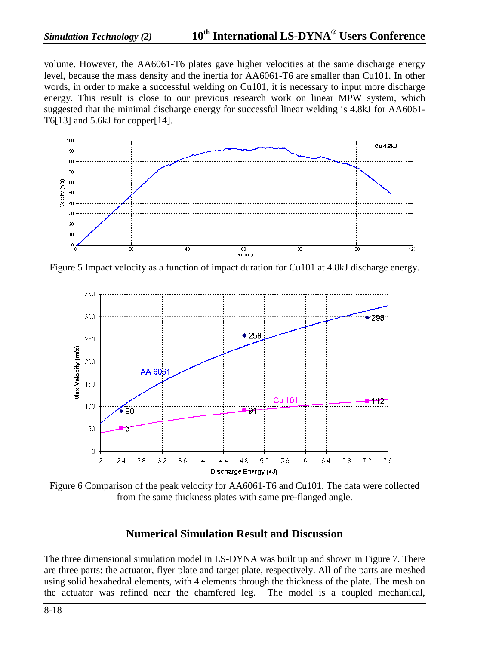volume. However, the AA6061-T6 plates gave higher velocities at the same discharge energy level, because the mass density and the inertia for AA6061-T6 are smaller than Cu101. In other words, in order to make a successful welding on Cu101, it is necessary to input more discharge energy. This result is close to our previous research work on linear MPW system, which suggested that the minimal discharge energy for successful linear welding is 4.8kJ for AA6061- T6[13] and 5.6kJ for copper[14].



Figure 5 Impact velocity as a function of impact duration for Cu101 at 4.8kJ discharge energy.



Figure 6 Comparison of the peak velocity for AA6061-T6 and Cu101. The data were collected from the same thickness plates with same pre-flanged angle.

# **Numerical Simulation Result and Discussion**

The three dimensional simulation model in LS-DYNA was built up and shown in Figure 7. There are three parts: the actuator, flyer plate and target plate, respectively. All of the parts are meshed using solid hexahedral elements, with 4 elements through the thickness of the plate. The mesh on the actuator was refined near the chamfered leg. The model is a coupled mechanical,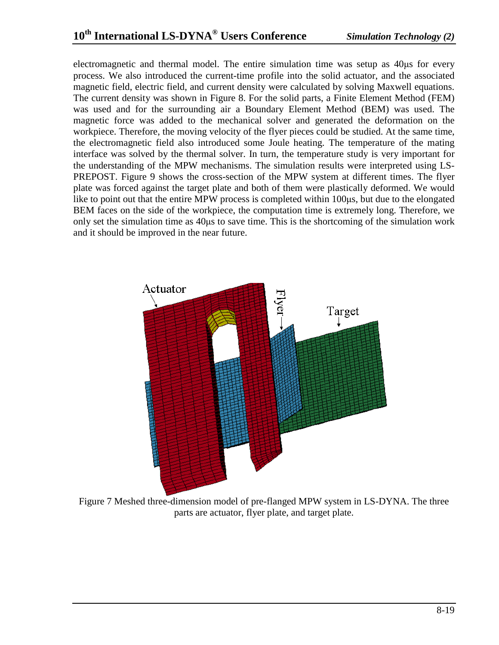electromagnetic and thermal model. The entire simulation time was setup as 40μs for every process. We also introduced the current-time profile into the solid actuator, and the associated magnetic field, electric field, and current density were calculated by solving Maxwell equations. The current density was shown in Figure 8. For the solid parts, a Finite Element Method (FEM) was used and for the surrounding air a Boundary Element Method (BEM) was used. The magnetic force was added to the mechanical solver and generated the deformation on the workpiece. Therefore, the moving velocity of the flyer pieces could be studied. At the same time, the electromagnetic field also introduced some Joule heating. The temperature of the mating interface was solved by the thermal solver. In turn, the temperature study is very important for the understanding of the MPW mechanisms. The simulation results were interpreted using LS-PREPOST. Figure 9 shows the cross-section of the MPW system at different times. The flyer plate was forced against the target plate and both of them were plastically deformed. We would like to point out that the entire MPW process is completed within 100μs, but due to the elongated BEM faces on the side of the workpiece, the computation time is extremely long. Therefore, we only set the simulation time as 40μs to save time. This is the shortcoming of the simulation work and it should be improved in the near future.



Figure 7 Meshed three-dimension model of pre-flanged MPW system in LS-DYNA. The three parts are actuator, flyer plate, and target plate.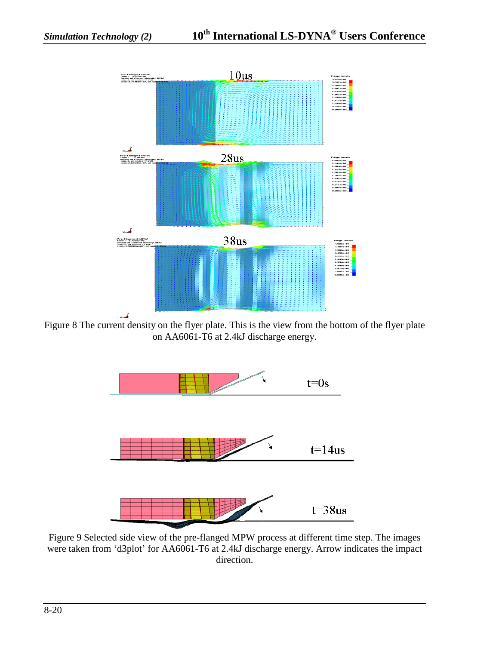

Figure 8 The current density on the flyer plate. This is the view from the bottom of the flyer plate on AA6061-T6 at 2.4kJ discharge energy.



Figure 9 Selected side view of the pre-flanged MPW process at different time step. The images were taken from 'd3plot' for AA6061-T6 at 2.4kJ discharge energy. Arrow indicates the impact direction.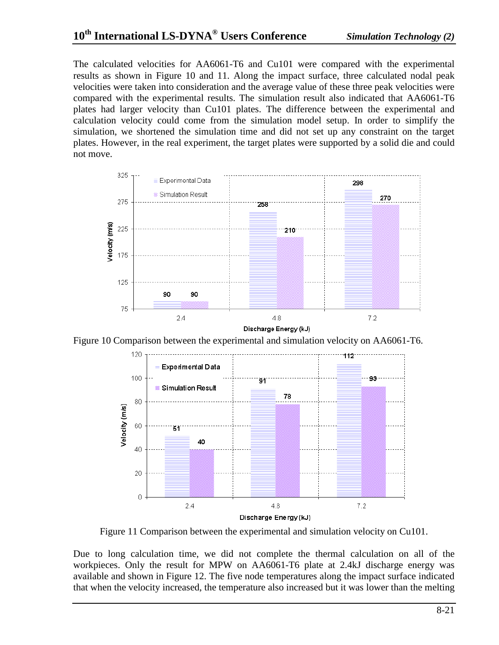The calculated velocities for AA6061-T6 and Cu101 were compared with the experimental results as shown in Figure 10 and 11. Along the impact surface, three calculated nodal peak velocities were taken into consideration and the average value of these three peak velocities were compared with the experimental results. The simulation result also indicated that AA6061-T6 plates had larger velocity than Cu101 plates. The difference between the experimental and calculation velocity could come from the simulation model setup. In order to simplify the simulation, we shortened the simulation time and did not set up any constraint on the target plates. However, in the real experiment, the target plates were supported by a solid die and could not move.







Figure 11 Comparison between the experimental and simulation velocity on Cu101.

Due to long calculation time, we did not complete the thermal calculation on all of the workpieces. Only the result for MPW on AA6061-T6 plate at 2.4kJ discharge energy was available and shown in Figure 12. The five node temperatures along the impact surface indicated that when the velocity increased, the temperature also increased but it was lower than the melting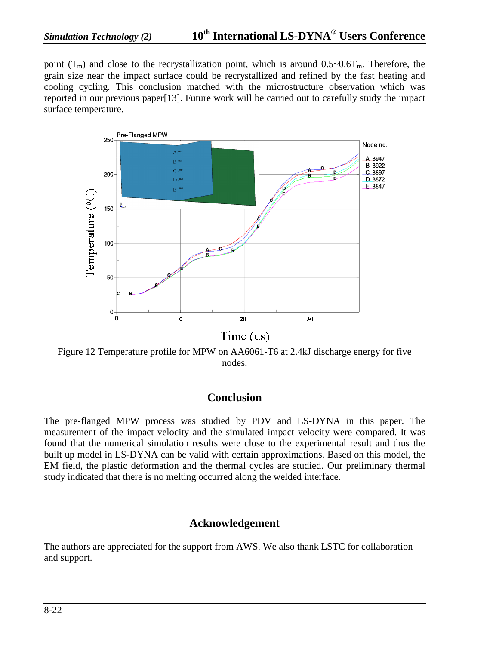point  $(T_m)$  and close to the recrystallization point, which is around  $0.5 \sim 0.6T_m$ . Therefore, the grain size near the impact surface could be recrystallized and refined by the fast heating and cooling cycling. This conclusion matched with the microstructure observation which was reported in our previous paper[13]. Future work will be carried out to carefully study the impact surface temperature.



Figure 12 Temperature profile for MPW on AA6061-T6 at 2.4kJ discharge energy for five nodes.

#### **Conclusion**

The pre-flanged MPW process was studied by PDV and LS-DYNA in this paper. The measurement of the impact velocity and the simulated impact velocity were compared. It was found that the numerical simulation results were close to the experimental result and thus the built up model in LS-DYNA can be valid with certain approximations. Based on this model, the EM field, the plastic deformation and the thermal cycles are studied. Our preliminary thermal study indicated that there is no melting occurred along the welded interface.

## **Acknowledgement**

The authors are appreciated for the support from AWS. We also thank LSTC for collaboration and support.